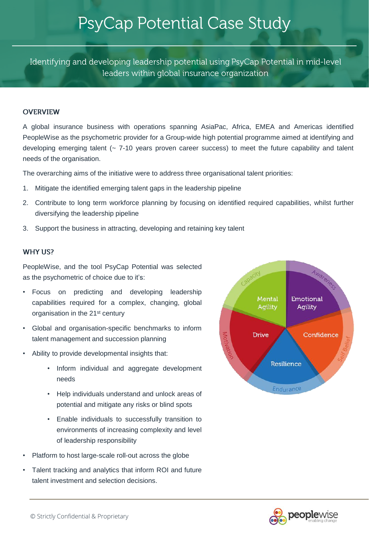# PsyCap Potential Case Study

Identifying and developing leadership potential using PsyCap Potential in mid-level leaders within global insurance organization

### **OVERVIEW**

A global insurance business with operations spanning AsiaPac, Africa, EMEA and Americas identified PeopleWise as the psychometric provider for a Group-wide high potential programme aimed at identifying and developing emerging talent (~ 7-10 years proven career success) to meet the future capability and talent needs of the organisation.

The overarching aims of the initiative were to address three organisational talent priorities:

- 1. Mitigate the identified emerging talent gaps in the leadership pipeline
- 2. Contribute to long term workforce planning by focusing on identified required capabilities, whilst further diversifying the leadership pipeline
- 3. Support the business in attracting, developing and retaining key talent

### **WHY US?**

PeopleWise, and the tool PsyCap Potential was selected as the psychometric of choice due to it's:

- Focus on predicting and developing leadership capabilities required for a complex, changing, global organisation in the 21st century
- Global and organisation-specific benchmarks to inform talent management and succession planning
- Ability to provide developmental insights that:
	- Inform individual and aggregate development needs
	- Help individuals understand and unlock areas of potential and mitigate any risks or blind spots
	- Enable individuals to successfully transition to environments of increasing complexity and level of leadership responsibility
- Platform to host large-scale roll-out across the globe
- Talent tracking and analytics that inform ROI and future talent investment and selection decisions.



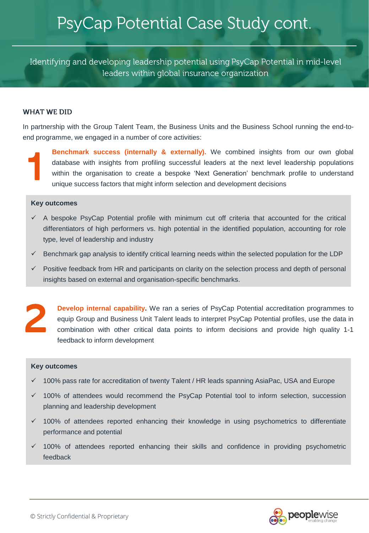Identifying and developing leadership potential using PsyCap Potential in mid-level leaders within global insurance organization

#### **WHAT WE DID**

In partnership with the Group Talent Team, the Business Units and the Business School running the end-toend programme, we engaged in a number of core activities:



**Benchmark success (internally & externally).** We combined insights from our own global database with insights from profiling successful leaders at the next level leadership populations within the organisation to create a database with insights from profiling successful leaders at the next level leadership populations unique success factors that might inform selection and development decisions

#### **Key outcomes**

- $\checkmark$  A bespoke PsyCap Potential profile with minimum cut off criteria that accounted for the critical differentiators of high performers vs. high potential in the identified population, accounting for role type, level of leadership and industry
- $\checkmark$  Benchmark gap analysis to identify critical learning needs within the selected population for the LDP
- $\checkmark$  Positive feedback from HR and participants on clarity on the selection process and depth of personal insights based on external and organisation-specific benchmarks.



**Develop internal capability.** We ran a series of PsyCap Potential accreditation programmes to equip Group and Business Unit Talent leads to interpret PsyCap Potential profiles, use the data in **Develop internal capability.** We ran a series of PsyCap Potential accreditation programmes to equip Group and Business Unit Talent leads to interpret PsyCap Potential profiles, use the data in combination with other criti feedback to inform development

#### **Key outcomes**

- ✓ 100% pass rate for accreditation of twenty Talent / HR leads spanning AsiaPac, USA and Europe
- ✓ 100% of attendees would recommend the PsyCap Potential tool to inform selection, succession planning and leadership development
- ✓ 100% of attendees reported enhancing their knowledge in using psychometrics to differentiate performance and potential
- ✓ 100% of attendees reported enhancing their skills and confidence in providing psychometric feedback

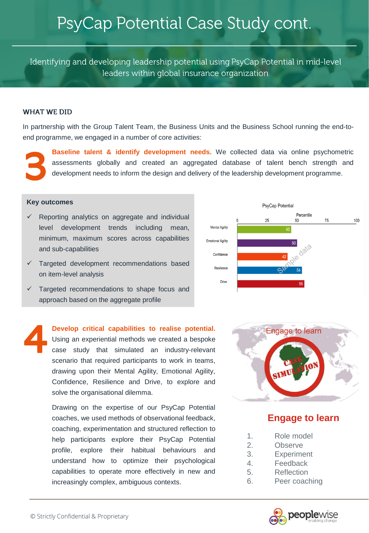Identifying and developing leadership potential using PsyCap Potential in mid-level leaders within global insurance organization

#### **WHAT WE DID**

In partnership with the Group Talent Team, the Business Units and the Business School running the end-toend programme, we engaged in a number of core activities:



**Baseline talent & identify development needs.** We collected data via online psychometric assessments globally and created an aggregated database of talent bench strength and development needs to inform the design and deli

### **Key outcomes**

Reporting analytics on aggregate and individual level development trends including mean, minimum, maximum scores across capabilities and sub-capabilities



- ✓ Targeted development recommendations based on item-level analysis
- ✓ Targeted recommendations to shape focus and approach based on the aggregate profile

**Develop critical capabilities to realise potential.** Using an experiential methods we created a bespoke case study that simulated an industry-relevant scenario that required participants to work in teams, drawing upon their Mental Agility, Emotional Agility, Confidence, Resilience and Drive, to explore and solve the organisational dilemma. 4

> Drawing on the expertise of our PsyCap Potential coaches, we used methods of observational feedback, coaching, experimentation and structured reflection to help participants explore their PsyCap Potential profile, explore their habitual behaviours and understand how to optimize their psychological capabilities to operate more effectively in new and increasingly complex, ambiguous contexts.



### **Engage to learn**

- 1. Role model
- 2. Observe
- 3. Experiment
- 4. Feedback
- 5. Reflection
- 6. Peer coaching

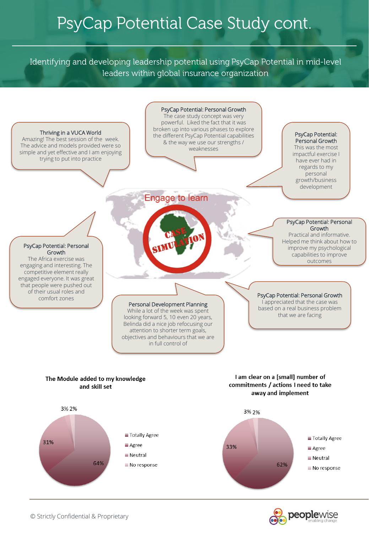Identifying and developing leadership potential using PsyCap Potential in mid-level leaders within global insurance organization



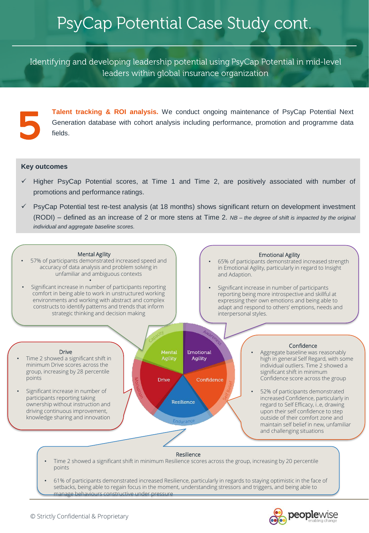Identifying and developing leadership potential using PsyCap Potential in mid-level leaders within global insurance organization

Talent tracking & ROI analysis. We conduct ongoing maintenance of PsyCap Potential Next<br>Generation database with cohort analysis including performance, promotion and programme data<br>fields.

#### **Key outcomes**

- Higher PsyCap Potential scores, at Time 1 and Time 2, are positively associated with number of promotions and performance ratings.
- PsyCap Potential test re-test analysis (at 18 months) shows significant return on development investment (RODI) – defined as an increase of 2 or more stens at Time 2. *NB – the degree of shift is impacted by the original individual and aggregate baseline scores.*

#### Mental Agility

57% of participants demonstrated increased speed and accuracy of data analysis and problem solving in unfamiliar and ambiguous contexts

•

• Significant increase in number of participants reporting comfort in being able to work in unstructured working environments and working with abstract and complex constructs to identify patterns and trends that inform strategic thinking and decision making

#### Emotional Agility

- 65% of participants demonstrated increased strength in Emotional Agility, particularly in regard to Insight and Adaption.
- Significant increase in number of participants reporting being more introspective and skillful at expressing their own emotions and being able to adapt and respond to others' emptions, needs and interpersonal styles.



setbacks, being able to regain focus in the moment, understanding stressors and triggers, and being able to manage behaviours constructive under pressure